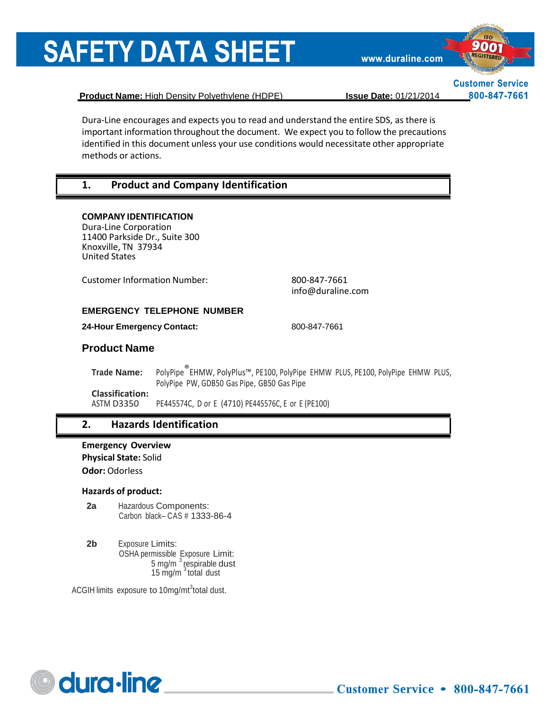www.duraline.com



**Customer Service** 800-847-7661

**Product Name:** High Density Polyethylene (HDPE) **Issue Date:** 01/21/2014

Dura-Line encourages and expects you to read and understand the entire SDS, as there is important information throughout the document. We expect you to follow the precautions identified in this document unless your use conditions would necessitate other appropriate methods or actions.

### **1. Product and Company Identification**

#### **COMPANY IDENTIFICATION**

Dura-Line Corporation 11400 Parkside Dr., Suite 300 Knoxville, TN 37934 United States

Customer Information Number: 800-847-7661

[info@duraline.com](mailto:SDSQuestion@dow.com)

#### **EMERGENCY TELEPHONE NUMBER**

**24-Hour Emergency Contact:** 800-847-7661

#### **Product Name**

**Trade Name:** PolyPipe®EHMW, PolyPlus™, PE100, PolyPipe EHMW PLUS, PE100, PolyPipe EHMW PLUS, PolyPipe PW, GDB50 Gas Pipe, GB50 Gas Pipe **Classification:**

PE445574C, D or E (4710) PE445576C, E or E (PE100)

#### **2. Hazards Identification**

**Emergency Overview Physical State:** Solid **Odor:** Odorless

#### **Hazards of product:**

- **2a** Hazardous Components: Carbon black– CAS # 1333-86-4
- **2b** Exposure Limits: OSHA permissible Exposure Limit: 5 mg/m <sup>3</sup> respirable dust 15 mg/m<sup>3</sup> total dust

ACGIH limits exposure to 10mg/mt<sup>3</sup>total dust.

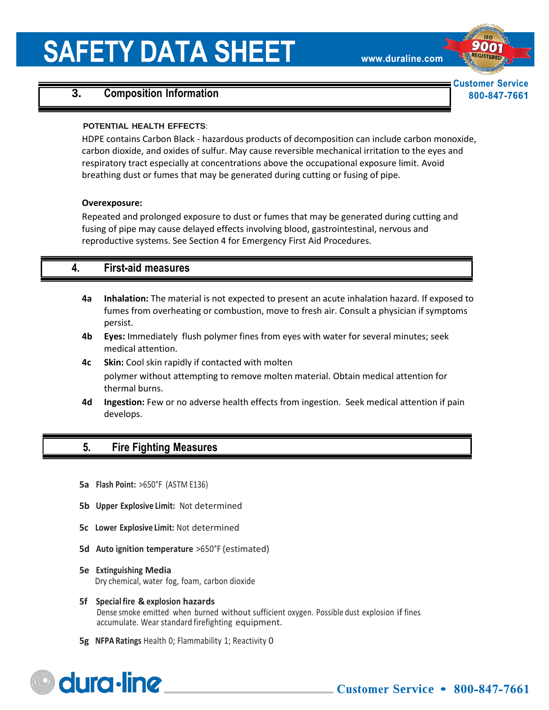www.duraline.com

# **Customer Service** 800-847-7661

# **3. Composition Information**

#### **POTENTIAL HEALTH EFFECTS**:

HDPE contains Carbon Black - hazardous products of decomposition can include carbon monoxide, carbon dioxide, and oxides of sulfur. May cause reversible mechanical irritation to the eyes and respiratory tract especially at concentrations above the occupational exposure limit. Avoid breathing dust or fumes that may be generated during cutting or fusing of pipe.

#### **Overexposure:**

Repeated and prolonged exposure to dust or fumes that may be generated during cutting and fusing of pipe may cause delayed effects involving blood, gastrointestinal, nervous and reproductive systems. See Section 4 for Emergency First Aid Procedures.

### **4. First-aid measures**

- **4a Inhalation:** The material is not expected to present an acute inhalation hazard. If exposed to fumes from overheating or combustion, move to fresh air. Consult a physician if symptoms persist.
- **4b Eyes:** Immediately flush polymer fines from eyes with water for several minutes; seek medical attention.
- **4c Skin:** Cool skin rapidly if contacted with molten polymer without attempting to remove molten material. Obtain medical attention for thermal burns.
- **4d Ingestion:** Few or no adverse health effects from ingestion. Seek medical attention if pain develops.

### **5. Fire Fighting Measures**

- **5a Flash Point:** >650°F (ASTM E136)
- **5b Upper Explosive Limit:** Not determined
- **5c Lower Explosive Limit:** Not determined
- **5d Auto ignition temperature** >650°F (estimated)
- **5e Extinguishing Media** Dry chemical, water fog, foam, carbon dioxide
- **5f Specialfire & explosion hazards** Dense smoke emitted when burned without sufficient oxygen. Possible dust explosion if fines accumulate. Wear standard firefighting equipment.
- **5g NFPA Ratings** Health 0; Flammability 1; Reactivity 0

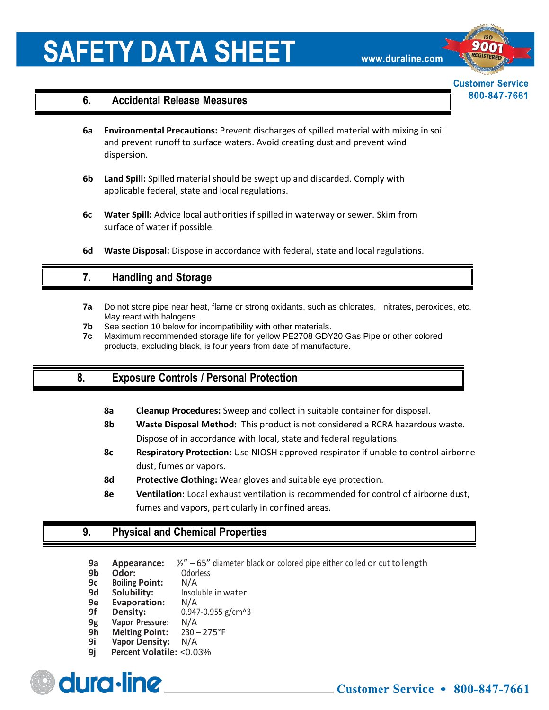www.duraline.com

# **Customer Service** 800-847-7661

#### **6. Accidental Release Measures**

- **6a Environmental Precautions:** Prevent discharges of spilled material with mixing in soil and prevent runoff to surface waters. Avoid creating dust and prevent wind dispersion.
- **6b Land Spill:** Spilled material should be swept up and discarded. Comply with applicable federal, state and local regulations.
- **6c Water Spill:** Advice local authorities if spilled in waterway or sewer. Skim from surface of water if possible.
- **6d Waste Disposal:** Dispose in accordance with federal, state and local regulations.

### **7. Handling and Storage**

- **7a** Do not store pipe near heat, flame or strong oxidants, such as chlorates, nitrates, peroxides, etc. May react with halogens.
- **7b** See section 10 below for incompatibility with other materials.
- **7c** Maximum recommended storage life for yellow PE2708 GDY20 Gas Pipe or other colored products, excluding black, is four years from date of manufacture.

#### **8. Exposure Controls / Personal Protection**

- **8a Cleanup Procedures:** Sweep and collect in suitable container for disposal.
- **8b Waste Disposal Method:** This product is not considered a RCRA hazardous waste. Dispose of in accordance with local, state and federal regulations.
- **8c Respiratory Protection:** Use NIOSH approved respirator if unable to control airborne dust, fumes or vapors.
- **8d Protective Clothing:** Wear gloves and suitable eye protection.
- **8e Ventilation:** Local exhaust ventilation is recommended for control of airborne dust, fumes and vapors, particularly in confined areas.

#### **9. Physical and Chemical Properties**

- **9a Appearance:** ½" 65" diameter black or colored pipe either coiled or cut to length
- **9b Odor:** Odorless<br>**9c Boiling Point:** N/A
- **9c** Boiling Point:<br>9d Solubility:
- **Insoluble in water**
- **9e Evaporation:** N/A
- **9f Density:** 0.947-0.955 g/cm^3
- **9g Vapor Pressure:** N/A
- **9h Melting Point:** 230 -<br>**9i Vapor Density:** N/A
- **9i Vapor Density:**<br>**9i** Percent Volatile: **9j Percent Volatile:** <0.03%



٦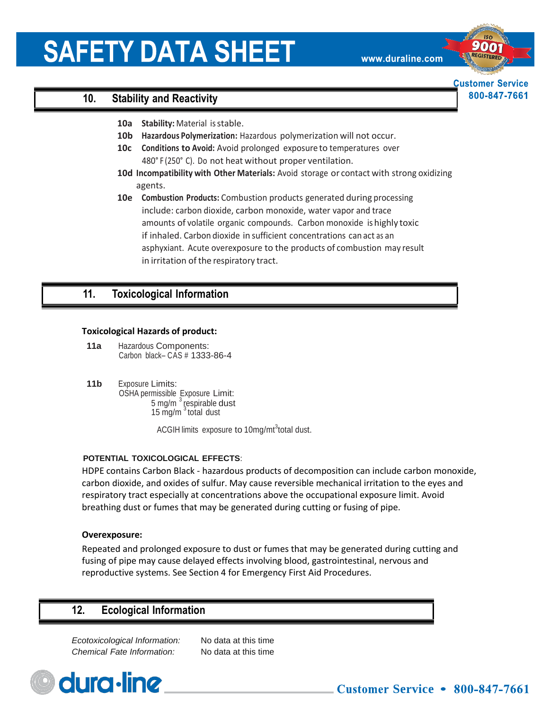www.duraline.com

**Customer Service** 800-847-7661

## **10. Stability and Reactivity**

- **10a Stability:** Material isstable.
- **10b Hazardous Polymerization:** Hazardous polymerization will not occur.
- **10c Conditions to Avoid:** Avoid prolonged exposure to temperatures over 480° F (250° C). Do not heat without proper ventilation.
- **10d Incompatibility with Other Materials:** Avoid storage or contact with strong oxidizing agents.
- **10e Combustion Products:** Combustion products generated during processing include: carbon dioxide, carbon monoxide, water vapor and trace amounts of volatile organic compounds. Carbon monoxide is highly toxic if inhaled. Carbon dioxide in sufficient concentrations can act as an asphyxiant. Acute overexposure to the products of combustion may result in irritation of the respiratory tract.

### **11. Toxicological Information**

#### **Toxicological Hazards of product:**

- **11a** Hazardous Components: Carbon black– CAS # 1333-86-4
- **11b** Exposure Limits: OSHA permissible Exposure Limit: 5 mg/m $^3$  respirable dust 15  $mg/m<sup>3</sup>$  total dust

ACGIH limits exposure to 10mg/mt<sup>3</sup>total dust.

#### **POTENTIAL TOXICOLOGICAL EFFECTS**:

HDPE contains Carbon Black - hazardous products of decomposition can include carbon monoxide, carbon dioxide, and oxides of sulfur. May cause reversible mechanical irritation to the eyes and respiratory tract especially at concentrations above the occupational exposure limit. Avoid breathing dust or fumes that may be generated during cutting or fusing of pipe.

#### **Overexposure:**

Repeated and prolonged exposure to dust or fumes that may be generated during cutting and fusing of pipe may cause delayed effects involving blood, gastrointestinal, nervous and reproductive systems. See Section 4 for Emergency First Aid Procedures.

# **12. Ecological Information**

*Ecotoxicological Information:* No data at this time *Chemical Fate Information:* No data at this time